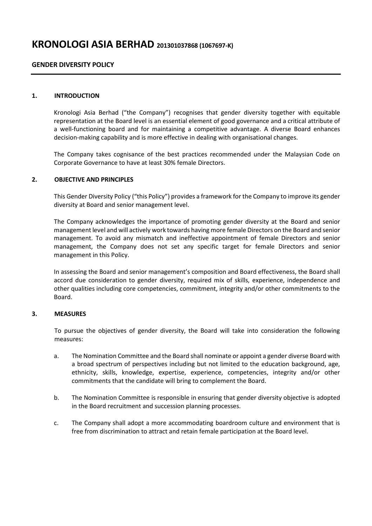# **KRONOLOGI ASIA BERHAD <sup>201301037868</sup> (1067697-K)**

## **GENDER DIVERSITY POLICY**

#### **1. INTRODUCTION**

Kronologi Asia Berhad ("the Company") recognises that gender diversity together with equitable representation at the Board level is an essential element of good governance and a critical attribute of a well-functioning board and for maintaining a competitive advantage. A diverse Board enhances decision-making capability and is more effective in dealing with organisational changes.

The Company takes cognisance of the best practices recommended under the Malaysian Code on Corporate Governance to have at least 30% female Directors.

#### **2. OBJECTIVE AND PRINCIPLES**

This Gender Diversity Policy ("this Policy") provides a framework for the Company to improve its gender diversity at Board and senior management level.

The Company acknowledges the importance of promoting gender diversity at the Board and senior management level and will actively work towards having more female Directors on the Board and senior management. To avoid any mismatch and ineffective appointment of female Directors and senior management, the Company does not set any specific target for female Directors and senior management in this Policy.

In assessing the Board and senior management's composition and Board effectiveness, the Board shall accord due consideration to gender diversity, required mix of skills, experience, independence and other qualities including core competencies, commitment, integrity and/or other commitments to the Board.

### **3. MEASURES**

To pursue the objectives of gender diversity, the Board will take into consideration the following measures:

- a. The Nomination Committee and the Board shall nominate or appoint a gender diverse Board with a broad spectrum of perspectives including but not limited to the education background, age, ethnicity, skills, knowledge, expertise, experience, competencies, integrity and/or other commitments that the candidate will bring to complement the Board.
- b. The Nomination Committee is responsible in ensuring that gender diversity objective is adopted in the Board recruitment and succession planning processes.
- c. The Company shall adopt a more accommodating boardroom culture and environment that is free from discrimination to attract and retain female participation at the Board level.